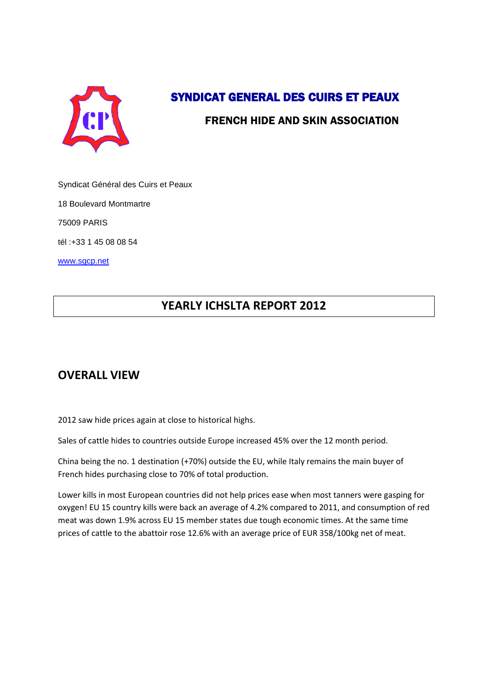

# SYNDICAT GENERAL DES CUIRS ET PEAUX

### FRENCH HIDE AND SKIN ASSOCIATION

Syndicat Général des Cuirs et Peaux

18 Boulevard Montmartre

75009 PARIS

tél :+33 1 45 08 08 54

[www.sgcp.net](http://www.sgcp.net/)

## **YEARLY ICHSLTA REPORT 2012**

### **OVERALL VIEW**

2012 saw hide prices again at close to historical highs.

Sales of cattle hides to countries outside Europe increased 45% over the 12 month period.

China being the no. 1 destination (+70%) outside the EU, while Italy remains the main buyer of French hides purchasing close to 70% of total production.

Lower kills in most European countries did not help prices ease when most tanners were gasping for oxygen! EU 15 country kills were back an average of 4.2% compared to 2011, and consumption of red meat was down 1.9% across EU 15 member states due tough economic times. At the same time prices of cattle to the abattoir rose 12.6% with an average price of EUR 358/100kg net of meat.